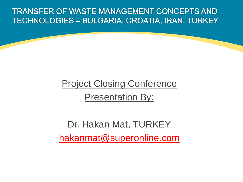**TRANSFER OF WASTE MANAGEMENT CONCEPTS AND** TECHNOLOGIES - BULGARIA, CROATIA, IRAN, TURKEY

# Project Closing Conference Presentation By:

Dr. Hakan Mat, TURKEY [hakanmat@superonline.com](mailto:hakanmat@superonline.com)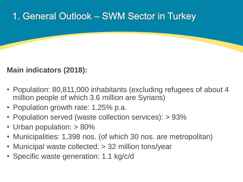# 1. General Outlook – SWM Sector in Turkey

### **Main indicators (2018):**

- Population: 80,811,000 inhabitants (excluding refugees of about 4 million people of which 3.6 million are Syrians)
- Population growth rate: 1.25% p.a.
- Population served (waste collection services): > 93%
- Urban population: > 80%
- Municipalities: 1,398 nos. (of which 30 nos. are metropolitan)
- Municipal waste collected: > 32 million tons/year
- Specific waste generation: 1.1 kg/c/d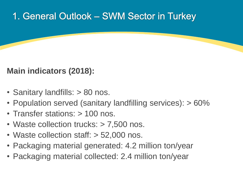# 1. General Outlook – SWM Sector in Turkey

## **Main indicators (2018):**

- Sanitary landfills: > 80 nos.
- Population served (sanitary landfilling services): > 60%
- Transfer stations: > 100 nos.
- Waste collection trucks: > 7,500 nos.
- Waste collection staff: > 52,000 nos.
- Packaging material generated: 4.2 million ton/year
- Packaging material collected: 2.4 million ton/year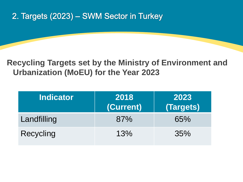## 2. Targets (2023) - SWM Sector in Turkey

### **Recycling Targets set by the Ministry of Environment and Urbanization (MoEU) for the Year 2023**

| <b>Indicator</b> | 2018<br>(Current) | 2023<br>(Targets) |
|------------------|-------------------|-------------------|
| Landfilling      | 87%               | 65%               |
| Recycling        | 13%               | 35%               |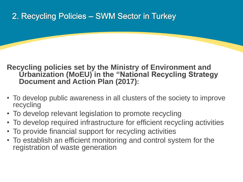## 2. Recycling Policies - SWM Sector in Turkey

#### **Recycling policies set by the Ministry of Environment and Urbanization (MoEU) in the "National Recycling Strategy Document and Action Plan (2017):**

- To develop public awareness in all clusters of the society to improve recycling
- To develop relevant legislation to promote recycling
- To develop required infrastructure for efficient recycling activities
- To provide financial support for recycling activities
- To establish an efficient monitoring and control system for the registration of waste generation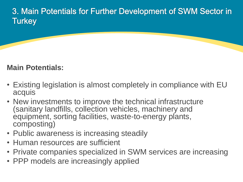3. Main Potentials for Further Development of SWM Sector in **Turkey** 

### **Main Potentials:**

- Existing legislation is almost completely in compliance with EU acquis
- New investments to improve the technical infrastructure (sanitary landfills, collection vehicles, machinery and equipment, sorting facilities, waste-to-energy plants, composting)
- Public awareness is increasing steadily
- Human resources are sufficient
- Private companies specialized in SWM services are increasing
- PPP models are increasingly applied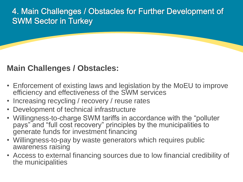### 4. Main Challenges / Obstacles for Further Development of **SWM Sector in Turkey**

### **Main Challenges / Obstacles:**

- Enforcement of existing laws and legislation by the MoEU to improve efficiency and effectiveness of the SWM services
- Increasing recycling / recovery / reuse rates
- Development of technical infrastructure
- Willingness-to-charge SWM tariffs in accordance with the "polluter pays" and "full cost recovery" principles by the municipalities to generate funds for investment financing
- Willingness-to-pay by waste generators which requires public awareness raising
- Access to external financing sources due to low financial credibility of the municipalities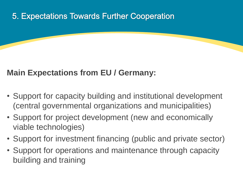## 5. Expectations Towards Further Cooperation

## **Main Expectations from EU / Germany:**

- Support for capacity building and institutional development (central governmental organizations and municipalities)
- Support for project development (new and economically viable technologies)
- Support for investment financing (public and private sector)
- Support for operations and maintenance through capacity building and training